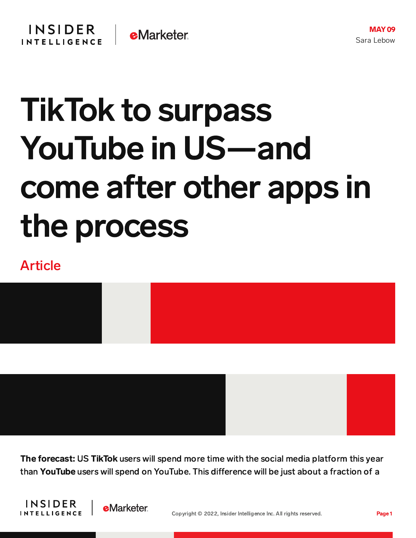## TikTok to surpass YouTube in US—and come after other apps in the process

## Article



The forecast: US TikTok users will spend more time with the social media platform this year than YouTube users will spend on YouTube. This difference will be just about a fraction of a

**INSIDER INTELLIGENCE** 

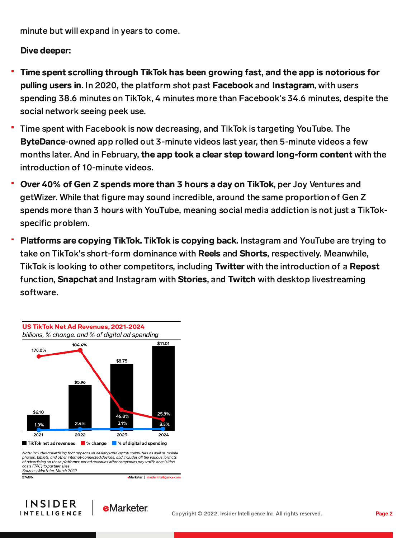minute but will expand in years to come.

## Dive deeper:

- Time spent scrolling through TikTok has been growing fast, and the app is notorious for pulling users in. In 2020, the platform shot past Facebook and Instagram, with users spending 38.6 minutes on TikTok, 4 minutes more than Facebook's 34.6 minutes, despite the social network seeing peek use.
- Time spent with Facebook is now decreasing, and TikTok is targeting YouTube. The ByteDance-owned app rolled out 3-minute videos last year, then 5-minute videos a few months later. And in February, the app took a clear step toward long-form content with the introduction of 10-minute videos.
- Over 40% of Gen Z spends more than 3 hours a day on TikTok, per Joy Ventures and getWizer. While that figure may sound incredible, around the same proportion of Gen Z spends more than 3 hours with YouTube, meaning social media addiction is not just a TikTokspecific problem.
- Platforms are copying TikTok. TikTok is copying back. Instagram and YouTube are trying to take on TikTok's short-form dominance with Reels and Shorts, respectively. Meanwhile, TikTok is looking to other competitors, including Twitter with the introduction of a Repost function, Snapchat and Instagram with Stories, and Twitch with desktop livestreaming software.



Note: includes advertising that appears on desktop and laptop computers as well as mobile phones, tablets, and other internet-connected devices, and includes all the various formats of advertising on those platforms; net ad revenues after companies pay traffic acquisition costs (TAC) to partner sites Source: eMarketer, March 2022

eMarketer | InsiderIntelligence.com

27419